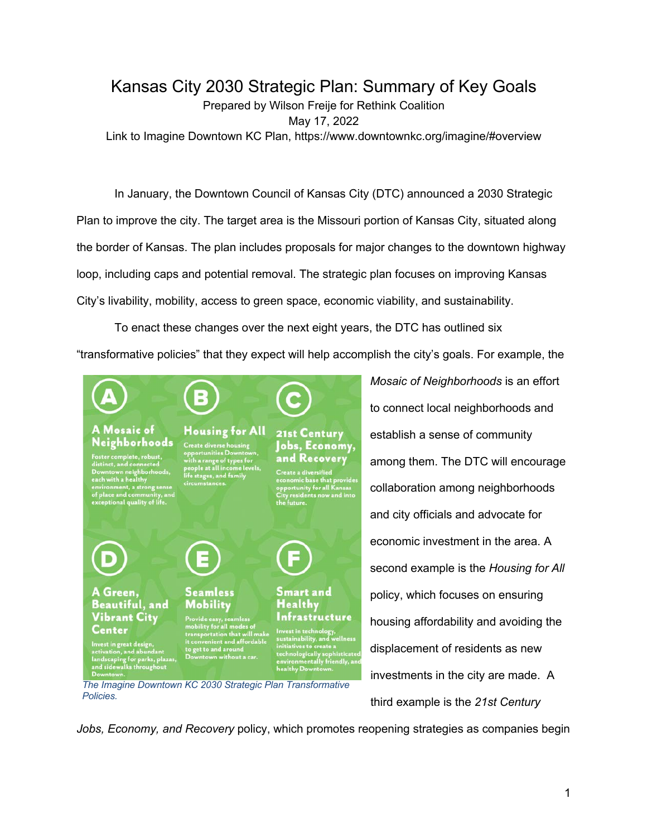## Kansas City 2030 Strategic Plan: Summary of Key Goals Prepared by Wilson Freije for Rethink Coalition May 17, 2022 Link to Imagine Downtown KC Plan, https://www.downtownkc.org/imagine/#overview

In January, the Downtown Council of Kansas City (DTC) announced a 2030 Strategic Plan to improve the city. The target area is the Missouri portion of Kansas City, situated along the border of Kansas. The plan includes proposals for major changes to the downtown highway loop, including caps and potential removal. The strategic plan focuses on improving Kansas City's livability, mobility, access to green space, economic viability, and sustainability.

To enact these changes over the next eight years, the DTC has outlined six "transformative policies" that they expect will help accomplish the city's goals. For example, the



*The Imagine Downtown KC 2030 Strategic Plan Transformative Policies.*

*Mosaic of Neighborhoods* is an effort to connect local neighborhoods and establish a sense of community among them. The DTC will encourage collaboration among neighborhoods and city officials and advocate for economic investment in the area. A second example is the *Housing for All*  policy, which focuses on ensuring housing affordability and avoiding the displacement of residents as new investments in the city are made. A third example is the *21st Century* 

*Jobs, Economy, and Recovery* policy, which promotes reopening strategies as companies begin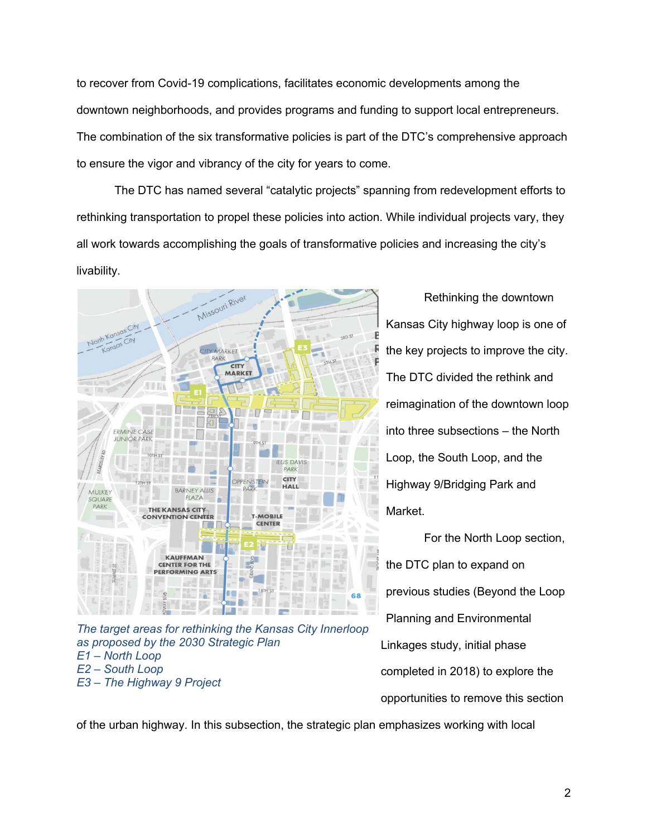to recover from Covid-19 complications, facilitates economic developments among the downtown neighborhoods, and provides programs and funding to support local entrepreneurs. The combination of the six transformative policies is part of the DTC's comprehensive approach to ensure the vigor and vibrancy of the city for years to come.

The DTC has named several "catalytic projects" spanning from redevelopment efforts to rethinking transportation to propel these policies into action. While individual projects vary, they all work towards accomplishing the goals of transformative policies and increasing the city's livability.



*The target areas for rethinking the Kansas City Innerloop as proposed by the 2030 Strategic Plan E1 – North Loop E2 – South Loop E3 – The Highway 9 Project*

Rethinking the downtown Kansas City highway loop is one of the key projects to improve the city. The DTC divided the rethink and reimagination of the downtown loop into three subsections – the North Loop, the South Loop, and the Highway 9/Bridging Park and Market.

For the North Loop section, the DTC plan to expand on previous studies (Beyond the Loop Planning and Environmental Linkages study, initial phase completed in 2018) to explore the opportunities to remove this section

of the urban highway. In this subsection, the strategic plan emphasizes working with local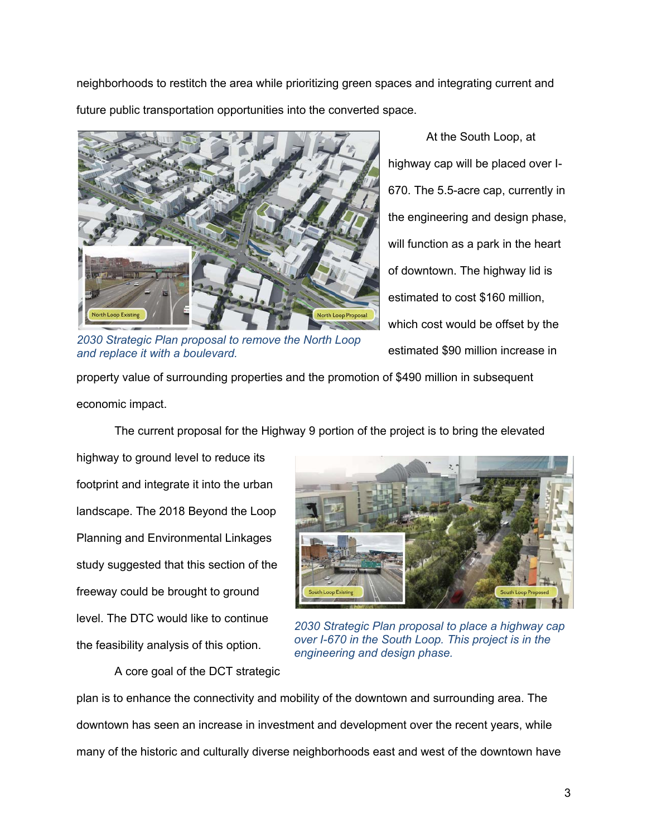neighborhoods to restitch the area while prioritizing green spaces and integrating current and future public transportation opportunities into the converted space.



*2030 Strategic Plan proposal to remove the North Loop and replace it with a boulevard.*

At the South Loop, at highway cap will be placed over I-670. The 5.5-acre cap, currently in the engineering and design phase, will function as a park in the heart of downtown. The highway lid is estimated to cost \$160 million, which cost would be offset by the estimated \$90 million increase in

property value of surrounding properties and the promotion of \$490 million in subsequent economic impact.

The current proposal for the Highway 9 portion of the project is to bring the elevated

highway to ground level to reduce its footprint and integrate it into the urban landscape. The 2018 Beyond the Loop Planning and Environmental Linkages study suggested that this section of the freeway could be brought to ground level. The DTC would like to continue the feasibility analysis of this option.

A core goal of the DCT strategic



*2030 Strategic Plan proposal to place a highway cap over I-670 in the South Loop. This project is in the engineering and design phase.*

plan is to enhance the connectivity and mobility of the downtown and surrounding area. The downtown has seen an increase in investment and development over the recent years, while many of the historic and culturally diverse neighborhoods east and west of the downtown have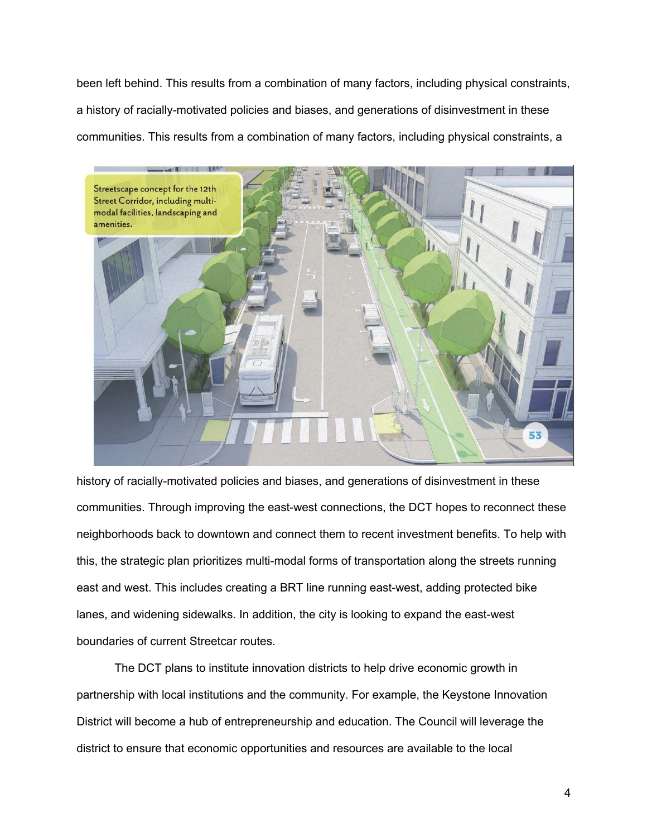been left behind. This results from a combination of many factors, including physical constraints, a history of racially-motivated policies and biases, and generations of disinvestment in these communities. This results from a combination of many factors, including physical constraints, a



history of racially-motivated policies and biases, and generations of disinvestment in these communities. Through improving the east-west connections, the DCT hopes to reconnect these neighborhoods back to downtown and connect them to recent investment benefits. To help with this, the strategic plan prioritizes multi-modal forms of transportation along the streets running east and west. This includes creating a BRT line running east-west, adding protected bike lanes, and widening sidewalks. In addition, the city is looking to expand the east-west boundaries of current Streetcar routes.

The DCT plans to institute innovation districts to help drive economic growth in partnership with local institutions and the community. For example, the Keystone Innovation District will become a hub of entrepreneurship and education. The Council will leverage the district to ensure that economic opportunities and resources are available to the local